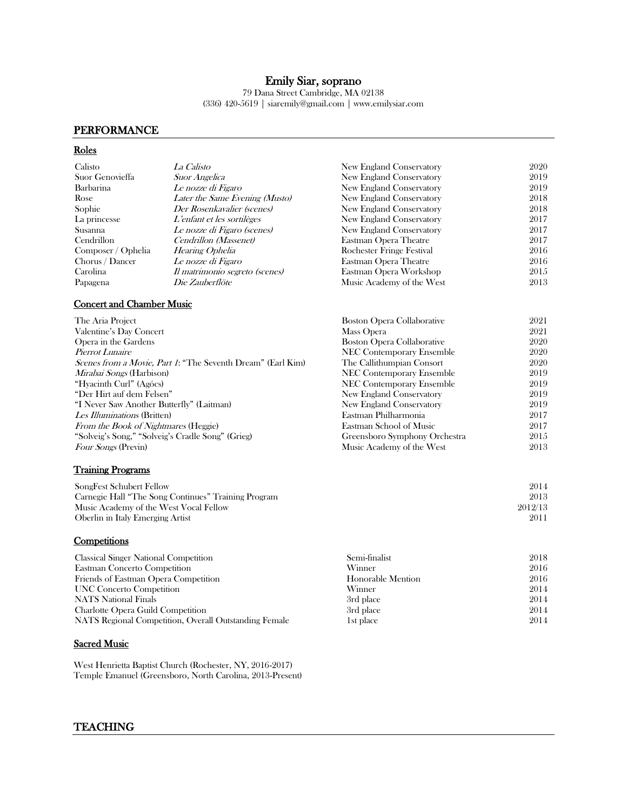# Emily Siar, soprano

79 Dana Street Cambridge, MA 02138 (336) 420-5619 | siaremily@gmail.com | www.emilysiar.com

# PERFORMANCE

# Roles

| New England Conservatory          | 2020                  |
|-----------------------------------|-----------------------|
| New England Conservatory          | 2019                  |
| New England Conservatory          | 2019                  |
| New England Conservatory          | 2018                  |
| New England Conservatory          | 2018                  |
| New England Conservatory          | 2017                  |
| New England Conservatory          | 2017                  |
|                                   | 2017                  |
| Rochester Fringe Festival         | 2016                  |
| Eastman Opera Theatre             | 2016                  |
| Eastman Opera Workshop            | 2015                  |
| Music Academy of the West         | 2013                  |
|                                   |                       |
| <b>Boston Opera Collaborative</b> | 2021                  |
| Mass Opera                        | 2021                  |
| <b>Boston Opera Collaborative</b> | 2020                  |
| NEC Contemporary Ensemble         | 2020                  |
| The Callithumpian Consort         | 2020                  |
| <b>NEC Contemporary Ensemble</b>  | 2019                  |
| <b>NEC Contemporary Ensemble</b>  | 2019                  |
| New England Conservatory          | 2019                  |
| New England Conservatory          | 2019                  |
| Eastman Philharmonia              | 2017                  |
| Eastman School of Music           | 2017                  |
| Greensboro Symphony Orchestra     | 2015                  |
| Music Academy of the West         | 2013                  |
|                                   | Eastman Opera Theatre |

# Training Programs

| SongFest Schubert Fellow                            | 2014    |
|-----------------------------------------------------|---------|
| Carnegie Hall "The Song Continues" Training Program | 2013    |
| Music Academy of the West Vocal Fellow              | 2012/13 |
| Oberlin in Italy Emerging Artist                    | 2011    |

# **Competitions**

| <b>Classical Singer National Competition</b>          | Semi-finalist     | 2018 |
|-------------------------------------------------------|-------------------|------|
| Eastman Concerto Competition                          | Winner            | 2016 |
| Friends of Eastman Opera Competition                  | Honorable Mention | 2016 |
| UNC Concerto Competition                              | Winner            | 2014 |
| <b>NATS</b> National Finals                           | 3rd place         | 2014 |
| <b>Charlotte Opera Guild Competition</b>              | 3rd place         | 2014 |
| NATS Regional Competition, Overall Outstanding Female | 1st place         | 2014 |

### **Sacred Music**

West Henrietta Baptist Church (Rochester, NY, 2016-2017) Temple Emanuel (Greensboro, North Carolina, 2013-Present)

# TEACHING